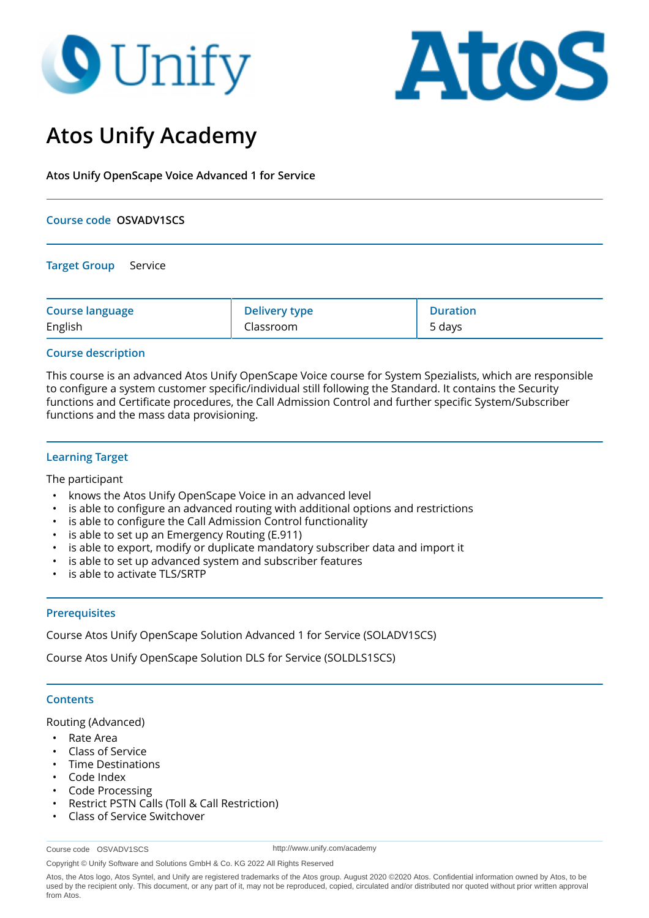# **O** Unify



## **Atos Unify Academy**

**Atos Unify OpenScape Voice Advanced 1 for Service**

#### **Course code OSVADV1SCS**

**Target Group** Service

| <b>Course language</b> | <b>Delivery type</b> | <b>Duration</b> |
|------------------------|----------------------|-----------------|
| English                | Classroom            | 5 days          |

#### **Course description**

This course is an advanced Atos Unify OpenScape Voice course for System Spezialists, which are responsible to configure a system customer specific/individual still following the Standard. It contains the Security functions and Certificate procedures, the Call Admission Control and further specific System/Subscriber functions and the mass data provisioning.

#### **Learning Target**

The participant

- knows the Atos Unify OpenScape Voice in an advanced level
- is able to configure an advanced routing with additional options and restrictions
- is able to configure the Call Admission Control functionality
- is able to set up an Emergency Routing (E.911)
- is able to export, modify or duplicate mandatory subscriber data and import it
- is able to set up advanced system and subscriber features
- is able to activate TLS/SRTP

#### **Prerequisites**

Course Atos Unify OpenScape Solution Advanced 1 for Service (SOLADV1SCS)

Course Atos Unify OpenScape Solution DLS for Service (SOLDLS1SCS)

#### **Contents**

Routing (Advanced)

- Rate Area
- Class of Service
- Time Destinations
- Code Index
- Code Processing
- Restrict PSTN Calls (Toll & Call Restriction)
- Class of Service Switchover

Course code OSVADV1SCS

http://www.unify.com/academy

Copyright © Unify Software and Solutions GmbH & Co. KG 2022 All Rights Reserved

Atos, the Atos logo, Atos Syntel, and Unify are registered trademarks of the Atos group. August 2020 ©2020 Atos. Confidential information owned by Atos, to be used by the recipient only. This document, or any part of it, may not be reproduced, copied, circulated and/or distributed nor quoted without prior written approval from Atos.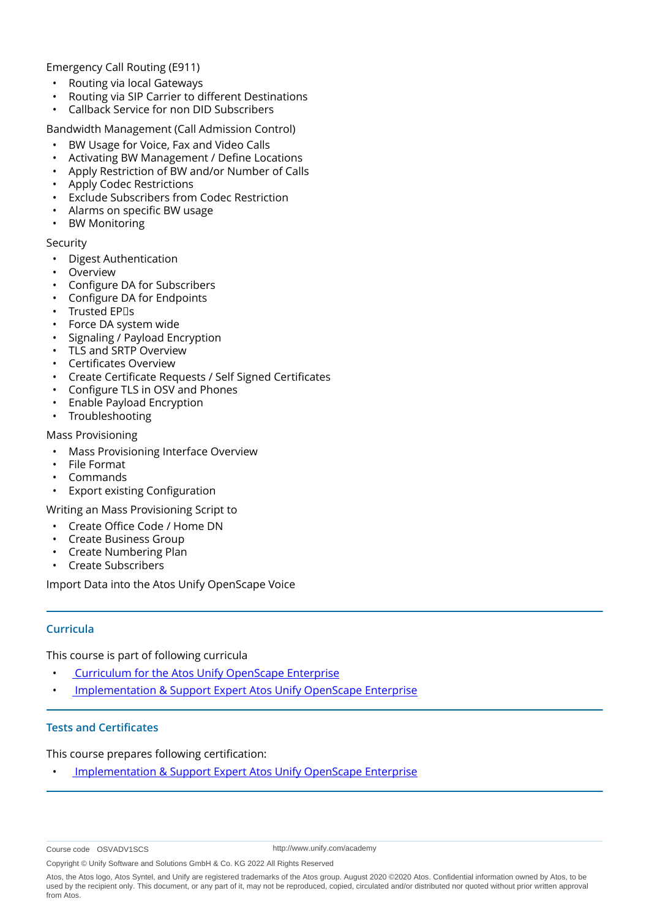Emergency Call Routing (E911)

- Routing via local Gateways
- Routing via SIP Carrier to different Destinations
- Callback Service for non DID Subscribers

Bandwidth Management (Call Admission Control)

- BW Usage for Voice, Fax and Video Calls
- Activating BW Management / Define Locations
- Apply Restriction of BW and/or Number of Calls
- Apply Codec Restrictions
- Exclude Subscribers from Codec Restriction
- Alarms on specific BW usage
- BW Monitoring

#### Security

- Digest Authentication
- **Overview**
- Configure DA for Subscribers
- Configure DA for Endpoints
- Trusted EP<sub>US</sub>
- Force DA system wide
- Signaling / Payload Encryption
- TLS and SRTP Overview
- Certificates Overview
- Create Certificate Requests / Self Signed Certificates
- Configure TLS in OSV and Phones
- Enable Payload Encryption
- Troubleshooting

#### Mass Provisioning

- Mass Provisioning Interface Overview
- File Format
- Commands
- **Export existing Configuration**

Writing an Mass Provisioning Script to

- Create Office Code / Home DN
- Create Business Group
- Create Numbering Plan
- Create Subscribers

Import Data into the Atos Unify OpenScape Voice

#### **Curricula**

This course is part of following curricula

- • [Curriculum for the Atos Unify OpenScape Enterprise](
https://academy.unify.com/enweb/beschreibung1.jsp?Chain=BAAACWD
)
- • [Implementation & Support Expert Atos Unify OpenScape Enterprise](
https://academy.unify.com/enweb/beschreibung1.jsp?Chain=BAAADVP
)

#### **Tests and Certificates**

This course prepares following certification:

• [Implementation & Support Expert Atos Unify OpenScape Enterprise](
https://academy.unify.com/enweb/certificationLevels.jsp?area=STI-3x1 Atos Unify OpenScape Enterprise&product=Implementation and Support
)

http://www.unify.com/academy

Copyright © Unify Software and Solutions GmbH & Co. KG 2022 All Rights Reserved

Course code OSVADV1SCS

Atos, the Atos logo, Atos Syntel, and Unify are registered trademarks of the Atos group. August 2020 ©2020 Atos. Confidential information owned by Atos, to be used by the recipient only. This document, or any part of it, may not be reproduced, copied, circulated and/or distributed nor quoted without prior written approval from Atos.